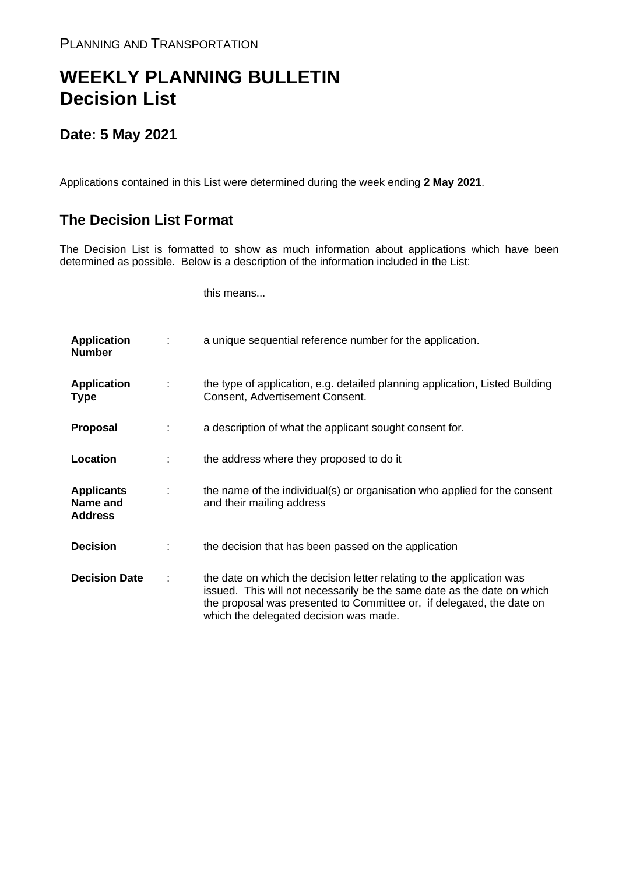## **WEEKLY PLANNING BULLETIN Decision List**

## **Date: 5 May 2021**

Applications contained in this List were determined during the week ending **2 May 2021**.

## **The Decision List Format**

The Decision List is formatted to show as much information about applications which have been determined as possible. Below is a description of the information included in the List:

this means...

| <b>Application</b><br><b>Number</b>             |   | a unique sequential reference number for the application.                                                                                                                                                                                                           |
|-------------------------------------------------|---|---------------------------------------------------------------------------------------------------------------------------------------------------------------------------------------------------------------------------------------------------------------------|
| <b>Application</b><br><b>Type</b>               | ÷ | the type of application, e.g. detailed planning application, Listed Building<br>Consent, Advertisement Consent.                                                                                                                                                     |
| <b>Proposal</b>                                 |   | a description of what the applicant sought consent for.                                                                                                                                                                                                             |
| Location                                        |   | the address where they proposed to do it                                                                                                                                                                                                                            |
| <b>Applicants</b><br>Name and<br><b>Address</b> |   | the name of the individual(s) or organisation who applied for the consent<br>and their mailing address                                                                                                                                                              |
| <b>Decision</b>                                 |   | the decision that has been passed on the application                                                                                                                                                                                                                |
| <b>Decision Date</b>                            |   | the date on which the decision letter relating to the application was<br>issued. This will not necessarily be the same date as the date on which<br>the proposal was presented to Committee or, if delegated, the date on<br>which the delegated decision was made. |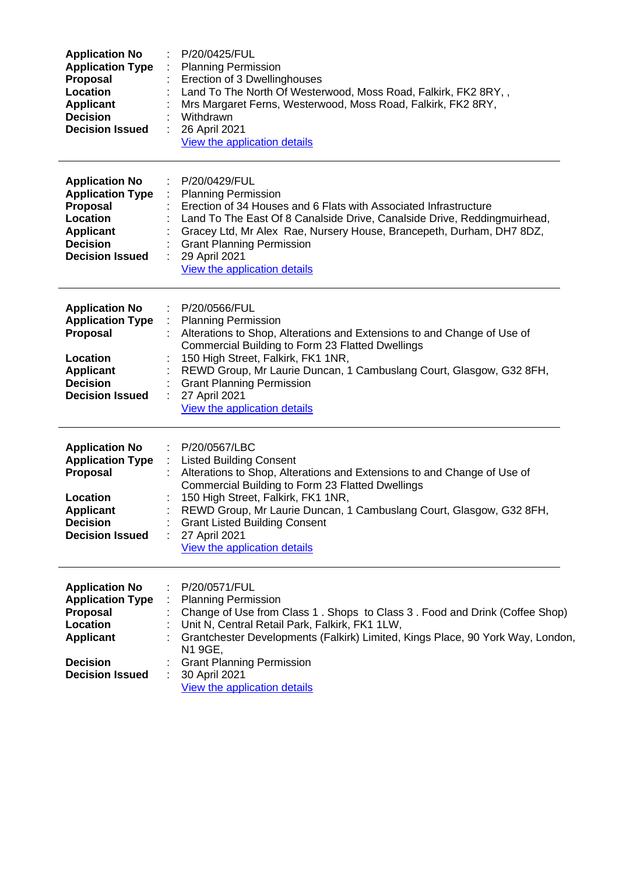| <b>Application No</b><br><b>Application Type</b><br>Proposal<br>Location<br><b>Applicant</b><br><b>Decision</b><br><b>Decision Issued</b> | P/20/0425/FUL<br><b>Planning Permission</b><br>Erection of 3 Dwellinghouses<br>Land To The North Of Westerwood, Moss Road, Falkirk, FK2 8RY,,<br>Mrs Margaret Ferns, Westerwood, Moss Road, Falkirk, FK2 8RY,<br>Withdrawn<br>26 April 2021<br>÷<br>View the application details                                                                                                                                                                |
|-------------------------------------------------------------------------------------------------------------------------------------------|-------------------------------------------------------------------------------------------------------------------------------------------------------------------------------------------------------------------------------------------------------------------------------------------------------------------------------------------------------------------------------------------------------------------------------------------------|
| <b>Application No</b><br><b>Application Type</b><br>Proposal<br>Location<br><b>Applicant</b><br><b>Decision</b><br><b>Decision Issued</b> | P/20/0429/FUL<br><b>Planning Permission</b><br>÷<br>Erection of 34 Houses and 6 Flats with Associated Infrastructure<br>Land To The East Of 8 Canalside Drive, Canalside Drive, Reddingmuirhead,<br>Gracey Ltd, Mr Alex Rae, Nursery House, Brancepeth, Durham, DH7 8DZ,<br><b>Grant Planning Permission</b><br>29 April 2021<br>View the application details                                                                                   |
| <b>Application No</b><br><b>Application Type</b><br>Proposal<br>Location<br><b>Applicant</b><br><b>Decision</b><br><b>Decision Issued</b> | P/20/0566/FUL<br>$\mathcal{L}^{\mathcal{L}}$<br>$\mathcal{L}^{\mathcal{L}}$<br><b>Planning Permission</b><br>Alterations to Shop, Alterations and Extensions to and Change of Use of<br>Commercial Building to Form 23 Flatted Dwellings<br>150 High Street, Falkirk, FK1 1NR,<br>REWD Group, Mr Laurie Duncan, 1 Cambuslang Court, Glasgow, G32 8FH,<br><b>Grant Planning Permission</b><br>÷<br>27 April 2021<br>View the application details |
| <b>Application No</b><br><b>Application Type</b><br>Proposal<br>Location<br><b>Applicant</b><br><b>Decision</b><br><b>Decision Issued</b> | P/20/0567/LBC<br>÷.<br><b>Listed Building Consent</b><br>Alterations to Shop, Alterations and Extensions to and Change of Use of<br>Commercial Building to Form 23 Flatted Dwellings<br>150 High Street, Falkirk, FK1 1NR,<br>REWD Group, Mr Laurie Duncan, 1 Cambuslang Court, Glasgow, G32 8FH,<br><b>Grant Listed Building Consent</b><br>27 April 2021<br>View the application details                                                      |
| <b>Application No</b><br><b>Application Type</b><br>Proposal<br>Location<br><b>Applicant</b><br><b>Decision</b><br><b>Decision Issued</b> | P/20/0571/FUL<br><b>Planning Permission</b><br>Change of Use from Class 1. Shops to Class 3. Food and Drink (Coffee Shop)<br>Unit N, Central Retail Park, Falkirk, FK1 1LW,<br>Grantchester Developments (Falkirk) Limited, Kings Place, 90 York Way, London,<br>N1 9GE,<br><b>Grant Planning Permission</b><br>30 April 2021<br>View the application details                                                                                   |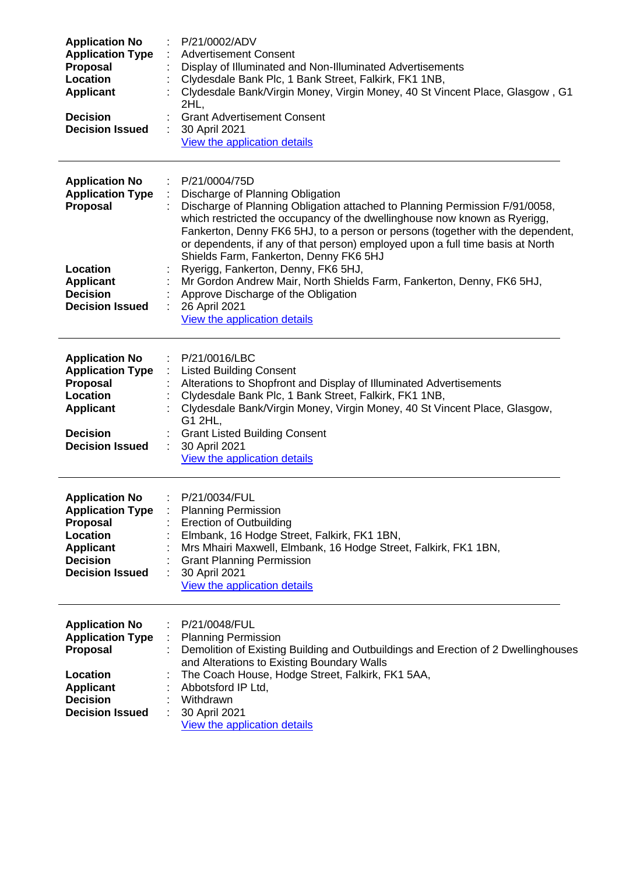| <b>Application No</b><br><b>Application Type</b><br>Proposal<br>Location<br><b>Applicant</b><br><b>Decision</b><br><b>Decision Issued</b>                           | P/21/0002/ADV<br><b>Advertisement Consent</b><br>Display of Illuminated and Non-Illuminated Advertisements<br>Clydesdale Bank Plc, 1 Bank Street, Falkirk, FK1 1NB,<br>Clydesdale Bank/Virgin Money, Virgin Money, 40 St Vincent Place, Glasgow, G1<br>2HL,<br><b>Grant Advertisement Consent</b><br>30 April 2021<br>View the application details                                                                                |
|---------------------------------------------------------------------------------------------------------------------------------------------------------------------|-----------------------------------------------------------------------------------------------------------------------------------------------------------------------------------------------------------------------------------------------------------------------------------------------------------------------------------------------------------------------------------------------------------------------------------|
| <b>Application No</b><br><b>Application Type</b><br>Proposal                                                                                                        | P/21/0004/75D<br>÷.<br>Discharge of Planning Obligation<br>Discharge of Planning Obligation attached to Planning Permission F/91/0058,<br>which restricted the occupancy of the dwellinghouse now known as Ryerigg,<br>Fankerton, Denny FK6 5HJ, to a person or persons (together with the dependent,<br>or dependents, if any of that person) employed upon a full time basis at North<br>Shields Farm, Fankerton, Denny FK6 5HJ |
| <b>Location</b><br><b>Applicant</b><br><b>Decision</b><br><b>Decision Issued</b>                                                                                    | Ryerigg, Fankerton, Denny, FK6 5HJ,<br>Mr Gordon Andrew Mair, North Shields Farm, Fankerton, Denny, FK6 5HJ,<br>Approve Discharge of the Obligation<br>26 April 2021<br>÷<br>View the application details                                                                                                                                                                                                                         |
| <b>Application No</b><br><b>Application Type</b><br>Proposal<br><b>Location</b><br><b>Applicant</b><br><b>Decision</b>                                              | P/21/0016/LBC<br><b>Listed Building Consent</b><br>Alterations to Shopfront and Display of Illuminated Advertisements<br>Clydesdale Bank Plc, 1 Bank Street, Falkirk, FK1 1NB,<br>Clydesdale Bank/Virgin Money, Virgin Money, 40 St Vincent Place, Glasgow,<br>G1 2HL,<br><b>Grant Listed Building Consent</b>                                                                                                                    |
| <b>Decision Issued</b><br><b>Application No</b><br><b>Application Type</b><br>Proposal<br>Location<br><b>Applicant</b><br><b>Decision</b><br><b>Decision Issued</b> | 30 April 2021<br>View the application details<br>P/21/0034/FUL<br><b>Planning Permission</b><br><b>Erection of Outbuilding</b><br>Elmbank, 16 Hodge Street, Falkirk, FK1 1BN,<br>Mrs Mhairi Maxwell, Elmbank, 16 Hodge Street, Falkirk, FK1 1BN,<br><b>Grant Planning Permission</b><br>30 April 2021<br>View the application details                                                                                             |
| <b>Application No</b><br><b>Application Type</b><br>Proposal<br>Location<br><b>Applicant</b><br><b>Decision</b><br><b>Decision Issued</b>                           | P/21/0048/FUL<br><b>Planning Permission</b><br>Demolition of Existing Building and Outbuildings and Erection of 2 Dwellinghouses<br>and Alterations to Existing Boundary Walls<br>The Coach House, Hodge Street, Falkirk, FK1 5AA,<br>Abbotsford IP Ltd,<br>Withdrawn<br>30 April 2021<br>View the application details                                                                                                            |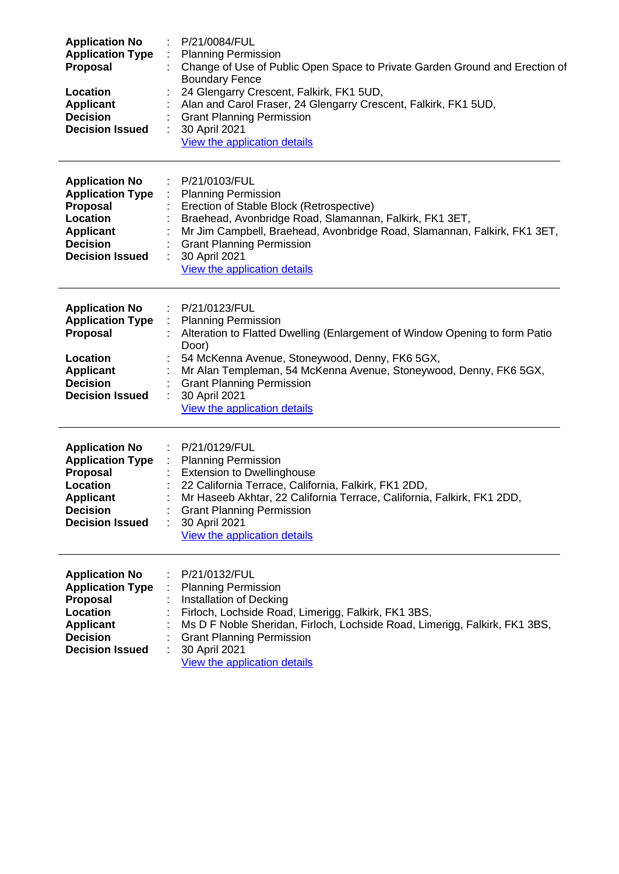| <b>Application No</b><br><b>Application Type</b><br><b>Proposal</b><br>Location<br><b>Applicant</b><br><b>Decision</b><br><b>Decision Issued</b> | P/21/0084/FUL<br><b>Planning Permission</b><br>Change of Use of Public Open Space to Private Garden Ground and Erection of<br><b>Boundary Fence</b><br>24 Glengarry Crescent, Falkirk, FK1 5UD,<br>Alan and Carol Fraser, 24 Glengarry Crescent, Falkirk, FK1 5UD,<br><b>Grant Planning Permission</b><br>30 April 2021<br>View the application details                                  |
|--------------------------------------------------------------------------------------------------------------------------------------------------|------------------------------------------------------------------------------------------------------------------------------------------------------------------------------------------------------------------------------------------------------------------------------------------------------------------------------------------------------------------------------------------|
| <b>Application No</b><br><b>Application Type</b><br><b>Proposal</b><br>Location<br><b>Applicant</b><br><b>Decision</b><br><b>Decision Issued</b> | P/21/0103/FUL<br>$\mathcal{I}^{\mathcal{I}}$ .<br><b>Planning Permission</b><br>$\mathcal{L}_{\mathcal{A}}$<br>Erection of Stable Block (Retrospective)<br>Braehead, Avonbridge Road, Slamannan, Falkirk, FK1 3ET,<br>Mr Jim Campbell, Braehead, Avonbridge Road, Slamannan, Falkirk, FK1 3ET,<br><b>Grant Planning Permission</b><br>30 April 2021<br>÷<br>View the application details |
| <b>Application No</b><br><b>Application Type</b><br><b>Proposal</b><br>Location<br><b>Applicant</b><br><b>Decision</b><br><b>Decision Issued</b> | P/21/0123/FUL<br><b>Planning Permission</b><br>Alteration to Flatted Dwelling (Enlargement of Window Opening to form Patio<br>Door)<br>54 McKenna Avenue, Stoneywood, Denny, FK6 5GX,<br>Mr Alan Templeman, 54 McKenna Avenue, Stoneywood, Denny, FK6 5GX,<br><b>Grant Planning Permission</b><br>30 April 2021<br>View the application details                                          |
| <b>Application No</b><br><b>Application Type</b><br>Proposal<br>Location<br><b>Applicant</b><br><b>Decision</b><br><b>Decision Issued</b>        | P/21/0129/FUL<br><b>Planning Permission</b><br><b>Extension to Dwellinghouse</b><br>22 California Terrace, California, Falkirk, FK1 2DD,<br>Mr Haseeb Akhtar, 22 California Terrace, California, Falkirk, FK1 2DD,<br><b>Grant Planning Permission</b><br>30 April 2021<br>View the application details                                                                                  |
| <b>Application No</b><br><b>Application Type</b><br><b>Proposal</b><br>Location<br><b>Applicant</b><br><b>Decision</b><br><b>Decision Issued</b> | P/21/0132/FUL<br><b>Planning Permission</b><br>Installation of Decking<br>Firloch, Lochside Road, Limerigg, Falkirk, FK1 3BS,<br>Ms D F Noble Sheridan, Firloch, Lochside Road, Limerigg, Falkirk, FK1 3BS,<br><b>Grant Planning Permission</b><br>30 April 2021<br>View the application details                                                                                         |